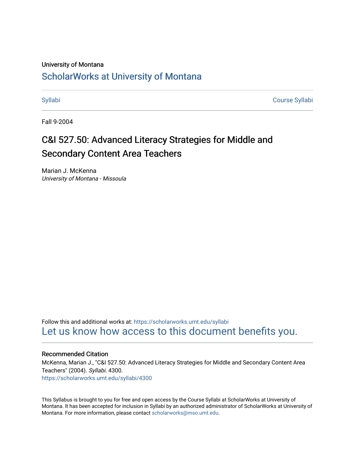#### University of Montana

## [ScholarWorks at University of Montana](https://scholarworks.umt.edu/)

[Syllabi](https://scholarworks.umt.edu/syllabi) [Course Syllabi](https://scholarworks.umt.edu/course_syllabi) 

Fall 9-2004

# C&I 527.50: Advanced Literacy Strategies for Middle and Secondary Content Area Teachers

Marian J. McKenna University of Montana - Missoula

Follow this and additional works at: [https://scholarworks.umt.edu/syllabi](https://scholarworks.umt.edu/syllabi?utm_source=scholarworks.umt.edu%2Fsyllabi%2F4300&utm_medium=PDF&utm_campaign=PDFCoverPages)  [Let us know how access to this document benefits you.](https://goo.gl/forms/s2rGfXOLzz71qgsB2) 

#### Recommended Citation

McKenna, Marian J., "C&I 527.50: Advanced Literacy Strategies for Middle and Secondary Content Area Teachers" (2004). Syllabi. 4300.

[https://scholarworks.umt.edu/syllabi/4300](https://scholarworks.umt.edu/syllabi/4300?utm_source=scholarworks.umt.edu%2Fsyllabi%2F4300&utm_medium=PDF&utm_campaign=PDFCoverPages)

This Syllabus is brought to you for free and open access by the Course Syllabi at ScholarWorks at University of Montana. It has been accepted for inclusion in Syllabi by an authorized administrator of ScholarWorks at University of Montana. For more information, please contact [scholarworks@mso.umt.edu.](mailto:scholarworks@mso.umt.edu)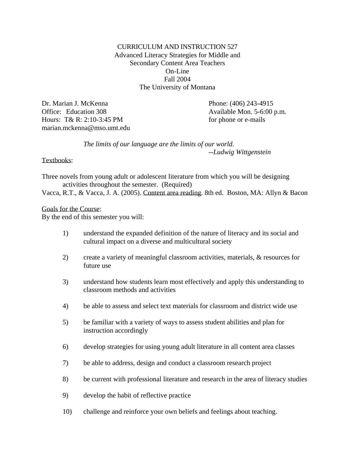CURRICULUM AND INSTRUCTION 527 Advanced Literacy Strategies for Middle and Secondary Content Area Teachers On-Line Fall 2004 The University of Montana

Dr. Marian J. McKenna Office: Education 308 Hours: T& R: 2:10-3:45 PM marian.mckenna@mso.umt.edu  Phone: (406) 243-4915 Available Mon. 5-6:00 p.m. for phone or e-mails

 *The limits of our language are the limits of our world. --Ludwig Wittgenstein*

Textbooks:

Three novels from young adult or adolescent literature from which you will be designing activities throughout the semester. (Required)

Vacca, R.T., & Vacca, J. A. (2005). Content area reading. 8th ed. Boston, MA: Allyn & Bacon

Goals for the Course:

By the end of this semester you will:

- 1) understand the expanded definition of the nature of literacy and its social and cultural impact on a diverse and multicultural society
- 2) create a variety of meaningful classroom activities, materials, & resources for future use
- 3) understand how students learn most effectively and apply this understanding to classroom methods and activities
- 4) be able to assess and select text materials for classroom and district wide use
- 5) be familiar with a variety of ways to assess student abilities and plan for instruction accordingly
- 6) develop strategies for using young adult literature in all content area classes
- 7) be able to address, design and conduct a classroom research project
- 8) be current with professional literature and research in the area of literacy studies
- 9) develop the habit of reflective practice
- 10) challenge and reinforce your own beliefs and feelings about teaching.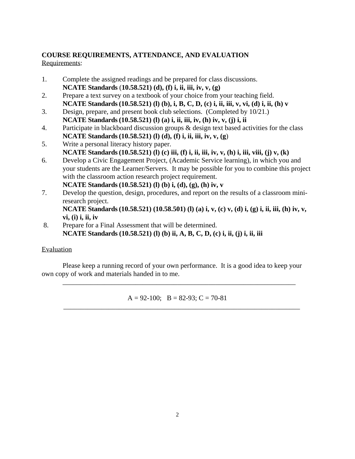#### **COURSE REQUIREMENTS, ATTENDANCE, AND EVALUATION** Requirements:

- 1. Complete the assigned readings and be prepared for class discussions. **NCATE Standards** (**10.58.521) (d), (f) i, ii, iii, iv, v, (g)**
- 2. Prepare a text survey on a textbook of your choice from your teaching field. **NCATE Standards(10.58.521) (l) (b), i, B, C, D, (c) i, ii, iii, v, vi, (d) i, ii, (h) v**
- 3. Design, prepare, and present book club selections. (Completed by 10/21.) **NCATE Standards(10.58.521) (l) (a) i, ii, iii, iv, (h) iv, v, (j) i, ii**
- 4. Participate in blackboard discussion groups & design text based activities for the class **NCATE Standards(10.58.521) (l) (d), (f) i, ii, iii, iv, v, (g**)
- 5. Write a personal literacy history paper. **NCATE Standards(10.58.521) (l) (c) iii, (f) i, ii, iii, iv, v, (h) i, iii, viii, (j) v, (k)**
- 6. Develop a Civic Engagement Project, (Academic Service learning), in which you and your students are the Learner/Servers. It may be possible for you to combine this project with the classroom action research project requirement. **NCATE Standards(10.58.521) (l) (b) i, (d), (g), (h) iv, v**
- 7. Develop the question, design, procedures, and report on the results of a classroom miniresearch project.

**NCATE Standards(10.58.521) (10.58.501) (l) (a) i, v, (c) v, (d) i, (g) i, ii, iii, (h) iv, v, vi, (i) i, ii, iv** 

 8. Prepare for a Final Assessment that will be determined. **NCATE Standards (10.58.521) (l) (b) ii, A, B, C, D, (c) i, ii, (j) i, ii, iii** 

## Evaluation

 Please keep a running record of your own performance. It is a good idea to keep your own copy of work and materials handed in to me.

\_\_\_\_\_\_\_\_\_\_\_\_\_\_\_\_\_\_\_\_\_\_\_\_\_\_\_\_\_\_\_\_\_\_\_\_\_\_\_\_\_\_\_\_\_\_\_\_\_\_\_\_\_\_\_\_\_\_\_\_\_\_\_\_\_\_\_

 $\overline{\phantom{a}}$  ,  $\overline{\phantom{a}}$  ,  $\overline{\phantom{a}}$  ,  $\overline{\phantom{a}}$  ,  $\overline{\phantom{a}}$  ,  $\overline{\phantom{a}}$  ,  $\overline{\phantom{a}}$  ,  $\overline{\phantom{a}}$  ,  $\overline{\phantom{a}}$  ,  $\overline{\phantom{a}}$  ,  $\overline{\phantom{a}}$  ,  $\overline{\phantom{a}}$  ,  $\overline{\phantom{a}}$  ,  $\overline{\phantom{a}}$  ,  $\overline{\phantom{a}}$  ,  $\overline{\phantom{a}}$ 

 $A = 92-100$ ;  $B = 82-93$ ;  $C = 70-81$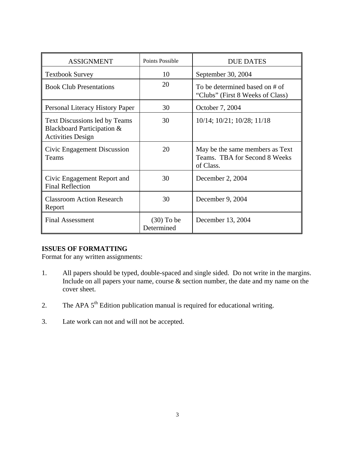| <b>ASSIGNMENT</b>                                                                              | Points Possible            | <b>DUE DATES</b>                                                              |
|------------------------------------------------------------------------------------------------|----------------------------|-------------------------------------------------------------------------------|
| <b>Textbook Survey</b>                                                                         | 10                         | September 30, 2004                                                            |
| <b>Book Club Presentations</b>                                                                 | 20                         | To be determined based on # of<br>"Clubs" (First 8 Weeks of Class)            |
| Personal Literacy History Paper                                                                | 30                         | October 7, 2004                                                               |
| <b>Text Discussions led by Teams</b><br>Blackboard Participation &<br><b>Activities Design</b> | 30                         | 10/14; 10/21; 10/28; 11/18                                                    |
| Civic Engagement Discussion<br>Teams                                                           | 20                         | May be the same members as Text<br>Teams. TBA for Second 8 Weeks<br>of Class. |
| Civic Engagement Report and<br><b>Final Reflection</b>                                         | 30                         | December 2, 2004                                                              |
| <b>Classroom Action Research</b><br>Report                                                     | 30                         | December 9, 2004                                                              |
| <b>Final Assessment</b>                                                                        | $(30)$ To be<br>Determined | December 13, 2004                                                             |

#### **ISSUES OF FORMATTING**

Format for any written assignments:

- 1. All papers should be typed, double-spaced and single sided. Do not write in the margins. Include on all papers your name, course  $\&$  section number, the date and my name on the cover sheet.
- 2. The APA  $5<sup>th</sup>$  Edition publication manual is required for educational writing.
- 3. Late work can not and will not be accepted.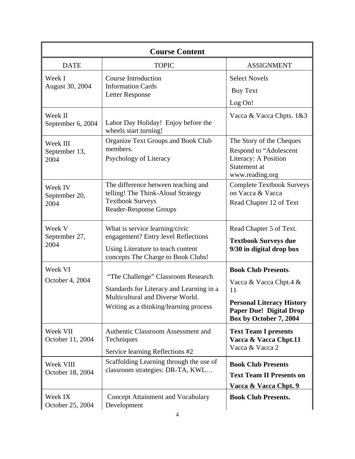| <b>Course Content</b>             |                                                                                                                                                              |                                                                                                                                                            |  |
|-----------------------------------|--------------------------------------------------------------------------------------------------------------------------------------------------------------|------------------------------------------------------------------------------------------------------------------------------------------------------------|--|
| <b>DATE</b>                       | <b>TOPIC</b>                                                                                                                                                 | <b>ASSIGNMENT</b>                                                                                                                                          |  |
| Week I<br>August 30, 2004         | <b>Course Introduction</b><br><b>Information Cards</b><br><b>Letter Response</b>                                                                             | <b>Select Novels</b><br><b>Buy Text</b><br>Log On!                                                                                                         |  |
| Week II<br>September 6, 2004      | Labor Day Holiday! Enjoy before the<br>wheels start turning!                                                                                                 | Vacca & Vacca Chpts. 1&3                                                                                                                                   |  |
| Week III<br>September 13,<br>2004 | <b>Organize Text Groups and Book Club</b><br>members.<br>Psychology of Literacy                                                                              | The Story of the Cheques<br>Respond to "Adolescent<br>Literacy: A Position<br>Statement at<br>www.reading.org                                              |  |
| Week IV<br>September 20,<br>2004  | The difference between teaching and<br>telling! The Think-Aloud Strategy<br><b>Textbook Surveys</b><br><b>Reader-Response Groups</b>                         | <b>Complete Textbook Surveys</b><br>on Vacca & Vacca<br>Read Chapter 12 of Text                                                                            |  |
| Week V<br>September 27,<br>2004   | What is service learning/civic<br>engagement? Entry level Reflections<br>Using Literature to teach content<br>concepts The Charge to Book Clubs!             | Read Chapter 5 of Text.<br><b>Textbook Surveys due</b><br>9/30 in digital drop box                                                                         |  |
| Week VI<br>October 4, 2004        | "The Challenge" Classroom Research<br>Standards for Literacy and Learning in a<br>Multicultural and Diverse World.<br>Writing as a thinking/learning process | <b>Book Club Presents.</b><br>Vacca & Vacca Chpt.4 &<br>11<br><b>Personal Literacy History</b><br><b>Paper Due! Digital Drop</b><br>Box by October 7, 2004 |  |
| Week VII<br>October 11, 2004      | Authentic Classroom Assessment and<br>Techniques<br>Service learning Reflections #2                                                                          | <b>Text Team I presents</b><br>Vacca & Vacca Chpt.11<br>Vacca & Vacca 2                                                                                    |  |
| Week VIII<br>October 18, 2004     | Scaffolding Learning through the use of<br>classroom strategies: DR-TA, KWL                                                                                  | <b>Book Club Presents</b><br><b>Text Team II Presents on</b><br><b>Vacca &amp; Vacca Chpt. 9</b>                                                           |  |
| Week IX<br>October 25, 2004       | Concept Attainment and Vocabulary<br>Development                                                                                                             | <b>Book Club Presents.</b>                                                                                                                                 |  |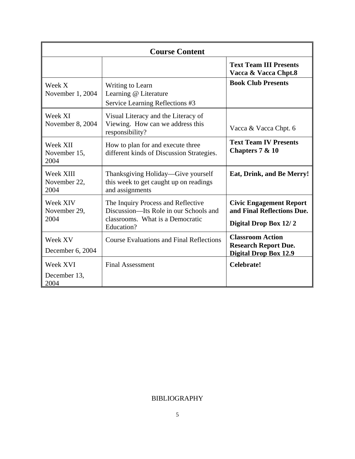| <b>Course Content</b>             |                                                                                                                                |                                                                                        |  |
|-----------------------------------|--------------------------------------------------------------------------------------------------------------------------------|----------------------------------------------------------------------------------------|--|
|                                   |                                                                                                                                | <b>Text Team III Presents</b><br>Vacca & Vacca Chpt.8                                  |  |
| Week X<br>November 1, 2004        | Writing to Learn<br>Learning @ Literature<br>Service Learning Reflections #3                                                   | <b>Book Club Presents</b>                                                              |  |
| Week XI<br>November 8, 2004       | Visual Literacy and the Literacy of<br>Viewing. How can we address this<br>responsibility?                                     | Vacca & Vacca Chpt. 6                                                                  |  |
| Week XII<br>November 15,<br>2004  | How to plan for and execute three<br>different kinds of Discussion Strategies.                                                 | <b>Text Team IV Presents</b><br>Chapters 7 & 10                                        |  |
| Week XIII<br>November 22,<br>2004 | Thanksgiving Holiday—Give yourself<br>this week to get caught up on readings<br>and assignments                                | Eat, Drink, and Be Merry!                                                              |  |
| Week XIV<br>November 29,<br>2004  | The Inquiry Process and Reflective<br>Discussion-Its Role in our Schools and<br>classrooms. What is a Democratic<br>Education? | <b>Civic Engagement Report</b><br>and Final Reflections Due.<br>Digital Drop Box 12/2  |  |
| Week XV<br>December 6, 2004       | <b>Course Evaluations and Final Reflections</b>                                                                                | <b>Classroom Action</b><br><b>Research Report Due.</b><br><b>Digital Drop Box 12.9</b> |  |
| Week XVI<br>December 13,<br>2004  | <b>Final Assessment</b>                                                                                                        | Celebrate!                                                                             |  |

## BIBLIOGRAPHY